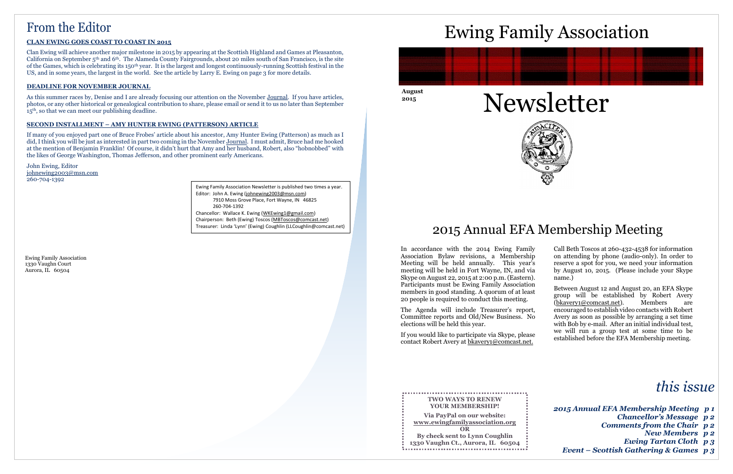**August 2015**





# From the Editor

#### **CLAN EWING GOES COAST TO COAST IN 2015**

Clan Ewing will achieve another major milestone in 2015 by appearing at the Scottish Highland and Games at Pleasanton, California on September 5th and 6th. The Alameda County Fairgrounds, about 20 miles south of San Francisco, is the site of the Games, which is celebrating its 150th year. It is the largest and longest continuously-running Scottish festival in the US, and in some years, the largest in the world. See the article by Larry E. Ewing on page 3 for more details.

As this summer races by, Denise and I are already focusing our attention on the November Journal. If you have articles, photos, or any other historical or genealogical contribution to share, please email or send it to us no later than September 15th, so that we can meet our publishing deadline.

#### **DEADLINE FOR NOVEMBER JOURNAL**

#### **SECOND INSTALLMENT – AMY HUNTER EWING (PATTERSON) ARTICLE**

If many of you enjoyed part one of Bruce Frobes' article about his ancestor, Amy Hunter Ewing (Patterson) as much as I did, I think you will be just as interested in part two coming in the November Journal. I must admit, Bruce had me hooked at the mention of Benjamin Franklin! Of course, it didn't hurt that Amy and her husband, Robert, also "hobnobbed" with the likes of George Washington, Thomas Jefferson, and other prominent early Americans.

John Ewing, Editor [johnewing2003@msn.com](mailto:johnewing2003@msn.com) 260-704-1392

Ewing Family Association 1330 Vaughn Court Aurora, IL 60504





# Ewing Family Association



In accordance with the 2014 Ewing Family Association Bylaw revisions, a Membership Meeting will be held annually. This year's meeting will be held in Fort Wayne, IN, and via Skype on August 22, 2015 at 2:00 p.m. (Eastern). Participants must be Ewing Family Association members in good standing. A quorum of at least 20 people is required to conduct this meeting.

The Agenda will include Treasurer's report, Committee reports and Old/New Business. No elections will be held this year.

If you would like to participate via Skype, please contact Robert Avery at [bkavery1@comcast.net.](mailto:bkavery1@comcast.net)

Call Beth Toscos at 260-432-4538 for information on attending by phone (audio-only). In order to reserve a spot for you, we need your information by August 10, 2015. (Please include your Skype name.)

Between August 12 and August 20, an EFA Skype group will be established by Robert Avery<br>(bkavery1@comcast.net). Members are [\(bkavery1@comcast.net\)](mailto:bkavery1@comcast.net). Members are encouraged to establish video contacts with Robert Avery as soon as possible by arranging a set time with Bob by e-mail. After an initial individual test, we will run a group test at some time to be established before the EFA Membership meeting.

| <b>TWO WAYS TO RENEW</b>          |  |
|-----------------------------------|--|
| <b>YOUR MEMBERSHIP!</b>           |  |
| Via PayPal on our website:        |  |
| www.ewingfamilyassociation.org    |  |
| <b>OR</b>                         |  |
| By check sent to Lynn Coughlin    |  |
| 1330 Vaughn Ct., Aurora, IL 60504 |  |
|                                   |  |

Ewing Family Association Newsletter is published two times a year. Editor: John A. Ewing [\(johnewing2003@msn.com\)](mailto:johnewing2003@msn.com) 7910 Moss Grove Place, Fort Wayne, IN 46825

260-704-1392

Chancellor: Wallace K. Ewing [\(WKEwing1@gmail.com\)](mailto:WKEwing1@gmail.com) Chairperson: Beth (Ewing) Toscos [\(MBToscos@comcast.net\)](mailto:MBToscos@comcast.net) Treasurer: Linda 'Lynn' (Ewing) Coughlin (LLCoughlin@comcast.net)

# *this issue*

| 2015 Annual EFA Membership Meeting p1    |  |
|------------------------------------------|--|
| <b>Chancellor's Message p2</b>           |  |
| Comments from the Chair p2               |  |
| <b>New Members</b> p 2                   |  |
| <b>Ewing Tartan Cloth p 3</b>            |  |
| Event – Scottish Gathering & Games $p_3$ |  |

# 2015 Annual EFA Membership Meeting